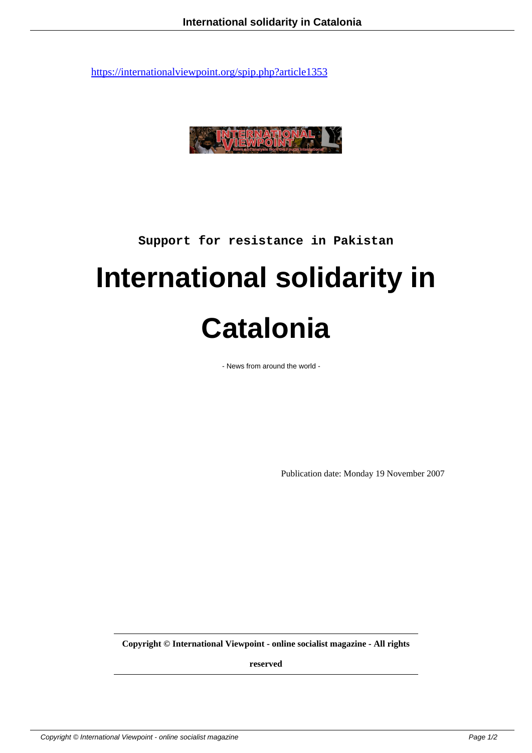

**Support for resistance in Pakistan**

## **International solidarity in Catalonia**

- News from around the world -

Publication date: Monday 19 November 2007

**Copyright © International Viewpoint - online socialist magazine - All rights**

**reserved**